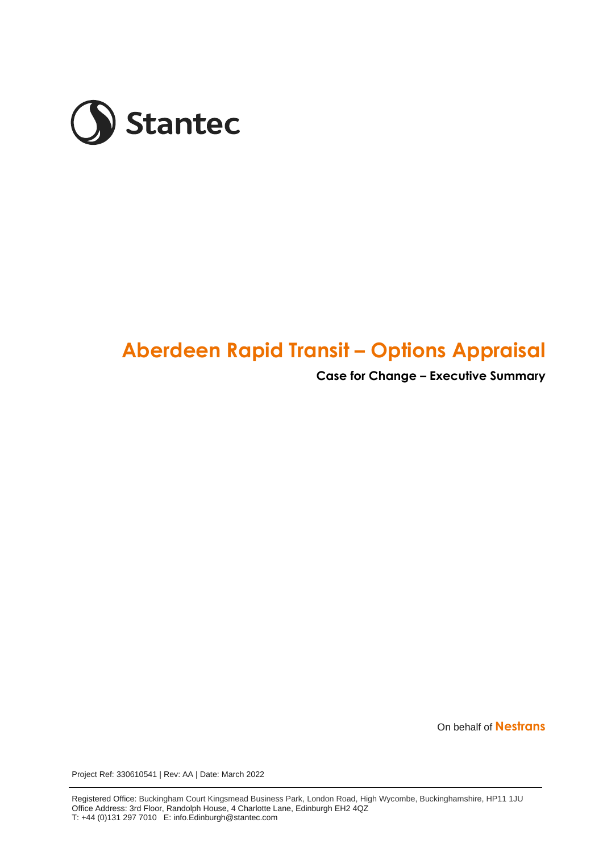

# **Aberdeen Rapid Transit – Options Appraisal**

**Case for Change – Executive Summary**

On behalf of **Nestrans**

Project Ref: 330610541 | Rev: AA | Date: March 2022

Registered Office: Buckingham Court Kingsmead Business Park, London Road, High Wycombe, Buckinghamshire, HP11 1JU Office Address: 3rd Floor, Randolph House, 4 Charlotte Lane, Edinburgh EH2 4QZ T: +44 (0)131 297 7010 E: info.Edinburgh@stantec.com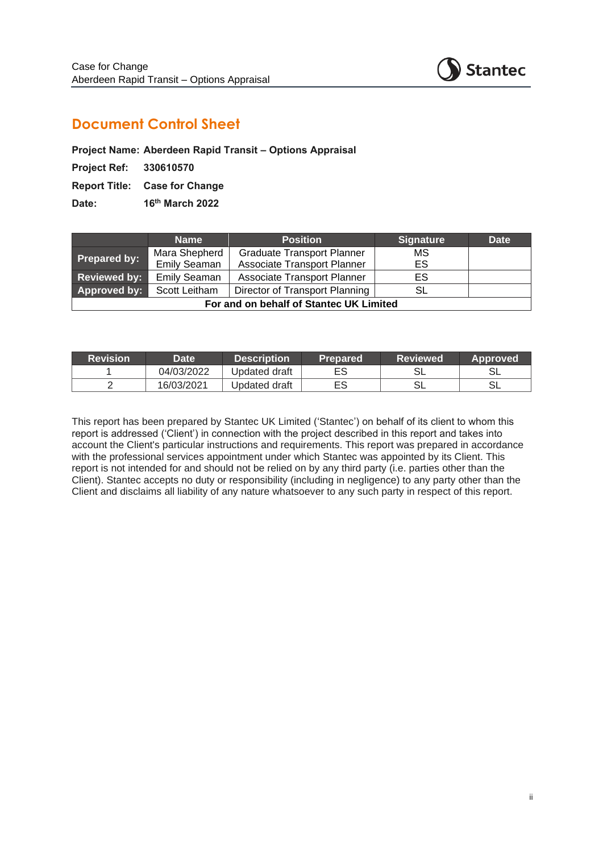

#### **Document Control Sheet**

**Project Name: Aberdeen Rapid Transit – Options Appraisal**

**Project Ref: 330610570**

**Report Title: Case for Change** 

**Date: 16th March 2022**

|                                         | <b>Name</b>         | <b>Position</b>                    | <b>Signature</b> | <b>Date</b> |  |  |
|-----------------------------------------|---------------------|------------------------------------|------------------|-------------|--|--|
| <b>Prepared by:</b>                     | Mara Shepherd       | <b>Graduate Transport Planner</b>  | MS               |             |  |  |
|                                         | <b>Emily Seaman</b> | <b>Associate Transport Planner</b> | ES               |             |  |  |
| <b>Reviewed by:</b>                     | <b>Emily Seaman</b> | <b>Associate Transport Planner</b> | ES               |             |  |  |
| Approved by:                            | Scott Leitham       | Director of Transport Planning     | -SL              |             |  |  |
| For and on behalf of Stantec UK Limited |                     |                                    |                  |             |  |  |

| <b>Revision</b> | <b>Date</b> | <b>Description</b> | <b>Prepared</b> | <b>Reviewed</b> | <b>Approved</b> |
|-----------------|-------------|--------------------|-----------------|-----------------|-----------------|
|                 | 04/03/2022  | Updated draft      | ES              | CI.<br>◡∟       |                 |
|                 | 16/03/2021  | Updated draft      | ES              | C.<br>◡∟        | ິ               |

This report has been prepared by Stantec UK Limited ('Stantec') on behalf of its client to whom this report is addressed ('Client') in connection with the project described in this report and takes into account the Client's particular instructions and requirements. This report was prepared in accordance with the professional services appointment under which Stantec was appointed by its Client. This report is not intended for and should not be relied on by any third party (i.e. parties other than the Client). Stantec accepts no duty or responsibility (including in negligence) to any party other than the Client and disclaims all liability of any nature whatsoever to any such party in respect of this report.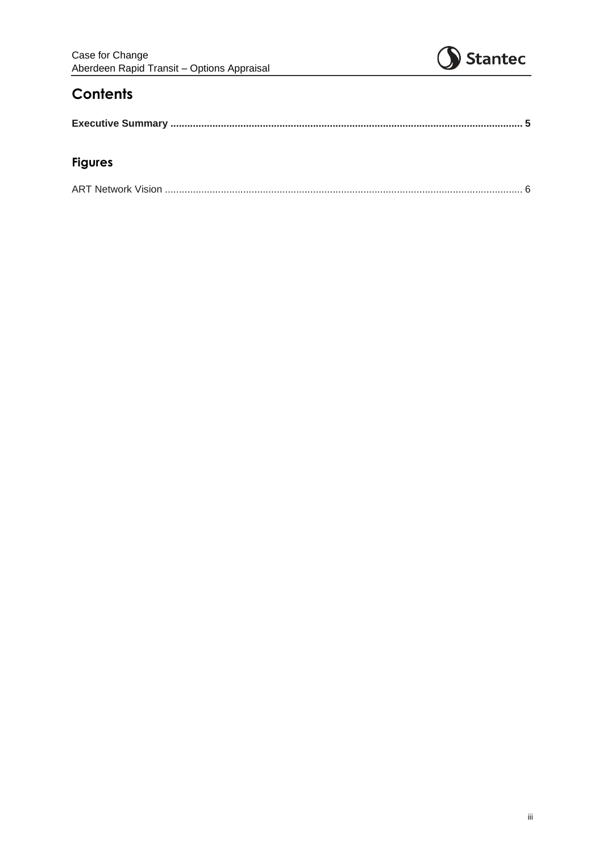

### Contents

|--|--|

### Figures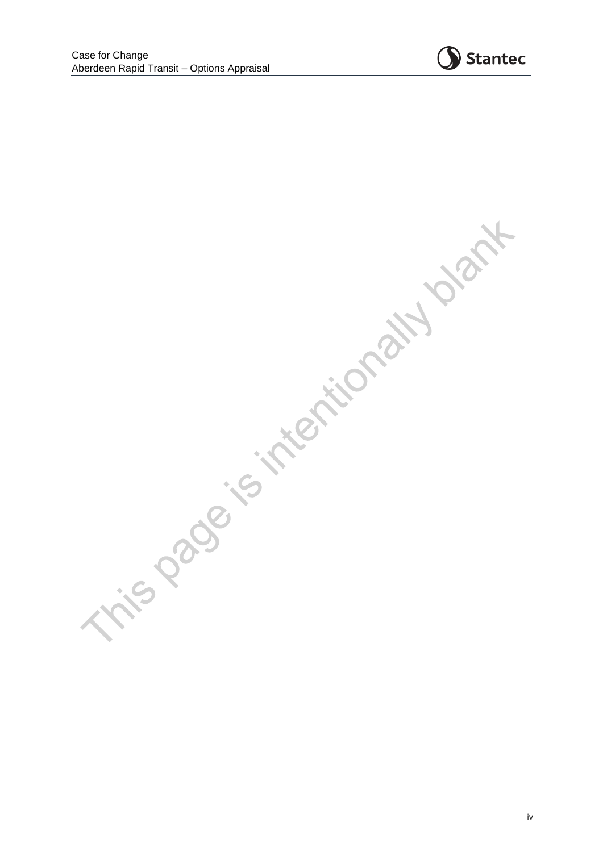

This gage is intertionally bank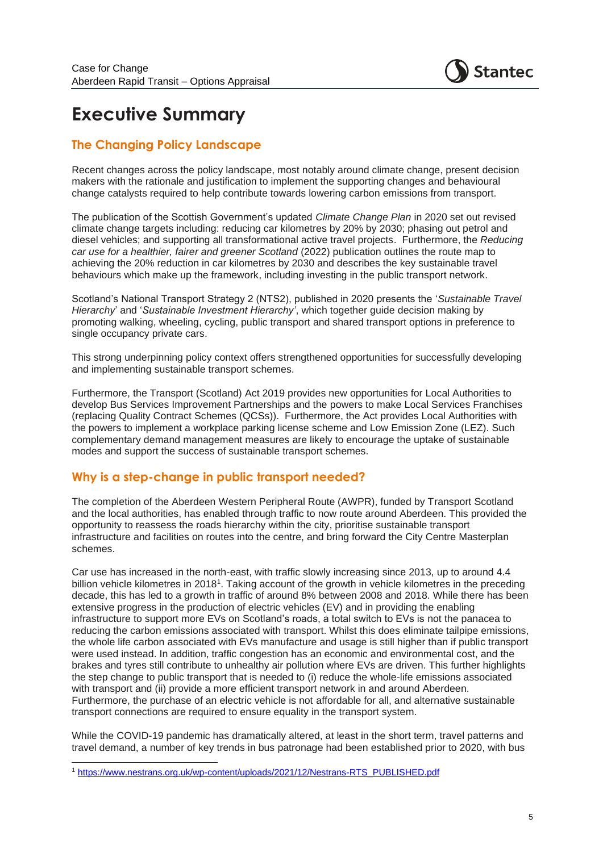

## <span id="page-4-0"></span>**Executive Summary**

#### **The Changing Policy Landscape**

Recent changes across the policy landscape, most notably around climate change, present decision makers with the rationale and justification to implement the supporting changes and behavioural change catalysts required to help contribute towards lowering carbon emissions from transport.

The publication of the Scottish Government's updated *Climate Change Plan* in 2020 set out revised climate change targets including: reducing car kilometres by 20% by 2030; phasing out petrol and diesel vehicles; and supporting all transformational active travel projects. Furthermore, the *Reducing car use for a healthier, fairer and greener Scotland* (2022) publication outlines the route map to achieving the 20% reduction in car kilometres by 2030 and describes the key sustainable travel behaviours which make up the framework, including investing in the public transport network.

Scotland's National Transport Strategy 2 (NTS2), published in 2020 presents the '*Sustainable Travel Hierarchy*' and '*Sustainable Investment Hierarchy'*, which together guide decision making by promoting walking, wheeling, cycling, public transport and shared transport options in preference to single occupancy private cars.

This strong underpinning policy context offers strengthened opportunities for successfully developing and implementing sustainable transport schemes.

Furthermore, the Transport (Scotland) Act 2019 provides new opportunities for Local Authorities to develop Bus Services Improvement Partnerships and the powers to make Local Services Franchises (replacing Quality Contract Schemes (QCSs)). Furthermore, the Act provides Local Authorities with the powers to implement a workplace parking license scheme and Low Emission Zone (LEZ). Such complementary demand management measures are likely to encourage the uptake of sustainable modes and support the success of sustainable transport schemes.

#### **Why is a step-change in public transport needed?**

The completion of the Aberdeen Western Peripheral Route (AWPR), funded by Transport Scotland and the local authorities, has enabled through traffic to now route around Aberdeen. This provided the opportunity to reassess the roads hierarchy within the city, prioritise sustainable transport infrastructure and facilities on routes into the centre, and bring forward the City Centre Masterplan schemes.

Car use has increased in the north-east, with traffic slowly increasing since 2013, up to around 4.4 billion vehicle kilometres in 2018<sup>1</sup>. Taking account of the growth in vehicle kilometres in the preceding decade, this has led to a growth in traffic of around 8% between 2008 and 2018. While there has been extensive progress in the production of electric vehicles (EV) and in providing the enabling infrastructure to support more EVs on Scotland's roads, a total switch to EVs is not the panacea to reducing the carbon emissions associated with transport. Whilst this does eliminate tailpipe emissions, the whole life carbon associated with EVs manufacture and usage is still higher than if public transport were used instead. In addition, traffic congestion has an economic and environmental cost, and the brakes and tyres still contribute to unhealthy air pollution where EVs are driven. This further highlights the step change to public transport that is needed to (i) reduce the whole-life emissions associated with transport and (ii) provide a more efficient transport network in and around Aberdeen. Furthermore, the purchase of an electric vehicle is not affordable for all, and alternative sustainable transport connections are required to ensure equality in the transport system.

While the COVID-19 pandemic has dramatically altered, at least in the short term, travel patterns and travel demand, a number of key trends in bus patronage had been established prior to 2020, with bus

<sup>1</sup> [https://www.nestrans.org.uk/wp-content/uploads/2021/12/Nestrans-RTS\\_PUBLISHED.pdf](https://www.nestrans.org.uk/wp-content/uploads/2021/12/Nestrans-RTS_PUBLISHED.pdf)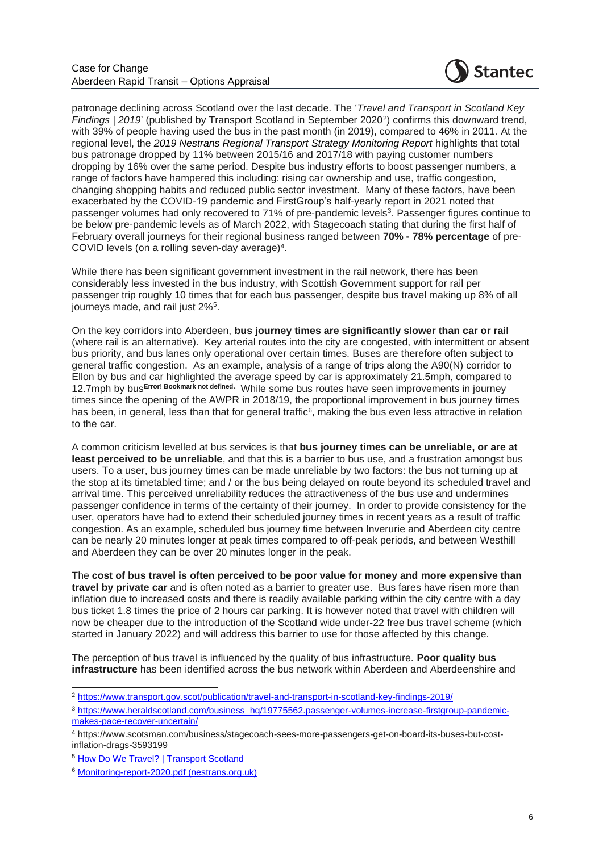

patronage declining across Scotland over the last decade. The '*Travel and Transport in Scotland Key*  Findings | 2019' (published by Transport Scotland in September 2020<sup>2</sup>) confirms this downward trend, with 39% of people having used the bus in the past month (in 2019), compared to 46% in 2011. At the regional level, the *2019 Nestrans Regional Transport Strategy Monitoring Report* highlights that total bus patronage dropped by 11% between 2015/16 and 2017/18 with paying customer numbers dropping by 16% over the same period. Despite bus industry efforts to boost passenger numbers, a range of factors have hampered this including: rising car ownership and use, traffic congestion, changing shopping habits and reduced public sector investment. Many of these factors, have been exacerbated by the COVID-19 pandemic and FirstGroup's half-yearly report in 2021 noted that passenger volumes had only recovered to 71% of pre-pandemic levels<sup>3</sup>. Passenger figures continue to be below pre-pandemic levels as of March 2022, with Stagecoach stating that during the first half of February overall journeys for their regional business ranged between **70% - 78% percentage** of pre-COVID levels (on a rolling seven-day average)<sup>4</sup>.

While there has been significant government investment in the rail network, there has been considerably less invested in the bus industry, with Scottish Government support for rail per passenger trip roughly 10 times that for each bus passenger, despite bus travel making up 8% of all journeys made, and rail just 2%<sup>5</sup>.

On the key corridors into Aberdeen, **bus journey times are significantly slower than car or rail** (where rail is an alternative). Key arterial routes into the city are congested, with intermittent or absent bus priority, and bus lanes only operational over certain times. Buses are therefore often subject to general traffic congestion. As an example, analysis of a range of trips along the A90(N) corridor to Ellon by bus and car highlighted the average speed by car is approximately 21.5mph, compared to 12.7mph by bus**Error! Bookmark not defined.**. While some bus routes have seen improvements in journey times since the opening of the AWPR in 2018/19, the proportional improvement in bus journey times has been, in general, less than that for general traffic<sup>6</sup>, making the bus even less attractive in relation to the car.

A common criticism levelled at bus services is that **bus journey times can be unreliable, or are at least perceived to be unreliable**, and that this is a barrier to bus use, and a frustration amongst bus users. To a user, bus journey times can be made unreliable by two factors: the bus not turning up at the stop at its timetabled time; and / or the bus being delayed on route beyond its scheduled travel and arrival time. This perceived unreliability reduces the attractiveness of the bus use and undermines passenger confidence in terms of the certainty of their journey. In order to provide consistency for the user, operators have had to extend their scheduled journey times in recent years as a result of traffic congestion. As an example, scheduled bus journey time between Inverurie and Aberdeen city centre can be nearly 20 minutes longer at peak times compared to off-peak periods, and between Westhill and Aberdeen they can be over 20 minutes longer in the peak.

The **cost of bus travel is often perceived to be poor value for money and more expensive than travel by private car** and is often noted as a barrier to greater use. Bus fares have risen more than inflation due to increased costs and there is readily available parking within the city centre with a day bus ticket 1.8 times the price of 2 hours car parking. It is however noted that travel with children will now be cheaper due to the introduction of the Scotland wide under-22 free bus travel scheme (which started in January 2022) and will address this barrier to use for those affected by this change.

The perception of bus travel is influenced by the quality of bus infrastructure. **Poor quality bus infrastructure** has been identified across the bus network within Aberdeen and Aberdeenshire and

<sup>2</sup> <https://www.transport.gov.scot/publication/travel-and-transport-in-scotland-key-findings-2019/>

<sup>&</sup>lt;sup>3</sup> [https://www.heraldscotland.com/business\\_hq/19775562.passenger-volumes-increase-firstgroup-pandemic](https://www.heraldscotland.com/business_hq/19775562.passenger-volumes-increase-firstgroup-pandemic-makes-pace-recover-uncertain/)[makes-pace-recover-uncertain/](https://www.heraldscotland.com/business_hq/19775562.passenger-volumes-increase-firstgroup-pandemic-makes-pace-recover-uncertain/)

<sup>4</sup> https://www.scotsman.com/business/stagecoach-sees-more-passengers-get-on-board-its-buses-but-costinflation-drags-3593199

<sup>5</sup> [How Do We Travel? | Transport Scotland](https://www.transport.gov.scot/publication/travel-and-transport-in-scotland-key-findings-2019/how-do-we-travel/)

<sup>6</sup> [Monitoring-report-2020.pdf \(nestrans.org.uk\)](https://www.nestrans.org.uk/wp-content/uploads/2020/07/Monitoring-report-2020.pdf)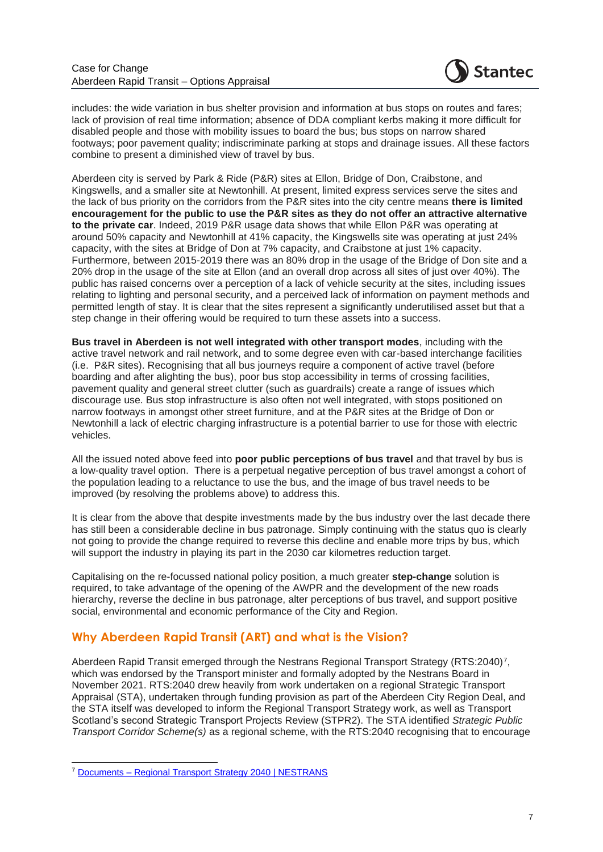

includes: the wide variation in bus shelter provision and information at bus stops on routes and fares; lack of provision of real time information; absence of DDA compliant kerbs making it more difficult for disabled people and those with mobility issues to board the bus; bus stops on narrow shared footways; poor pavement quality; indiscriminate parking at stops and drainage issues. All these factors combine to present a diminished view of travel by bus.

Aberdeen city is served by Park & Ride (P&R) sites at Ellon, Bridge of Don, Craibstone, and Kingswells, and a smaller site at Newtonhill. At present, limited express services serve the sites and the lack of bus priority on the corridors from the P&R sites into the city centre means **there is limited encouragement for the public to use the P&R sites as they do not offer an attractive alternative to the private car**. Indeed, 2019 P&R usage data shows that while Ellon P&R was operating at around 50% capacity and Newtonhill at 41% capacity, the Kingswells site was operating at just 24% capacity, with the sites at Bridge of Don at 7% capacity, and Craibstone at just 1% capacity. Furthermore, between 2015-2019 there was an 80% drop in the usage of the Bridge of Don site and a 20% drop in the usage of the site at Ellon (and an overall drop across all sites of just over 40%). The public has raised concerns over a perception of a lack of vehicle security at the sites, including issues relating to lighting and personal security, and a perceived lack of information on payment methods and permitted length of stay. It is clear that the sites represent a significantly underutilised asset but that a step change in their offering would be required to turn these assets into a success.

**Bus travel in Aberdeen is not well integrated with other transport modes**, including with the active travel network and rail network, and to some degree even with car-based interchange facilities (i.e. P&R sites). Recognising that all bus journeys require a component of active travel (before boarding and after alighting the bus), poor bus stop accessibility in terms of crossing facilities, pavement quality and general street clutter (such as guardrails) create a range of issues which discourage use. Bus stop infrastructure is also often not well integrated, with stops positioned on narrow footways in amongst other street furniture, and at the P&R sites at the Bridge of Don or Newtonhill a lack of electric charging infrastructure is a potential barrier to use for those with electric vehicles.

All the issued noted above feed into **poor public perceptions of bus travel** and that travel by bus is a low-quality travel option. There is a perpetual negative perception of bus travel amongst a cohort of the population leading to a reluctance to use the bus, and the image of bus travel needs to be improved (by resolving the problems above) to address this.

It is clear from the above that despite investments made by the bus industry over the last decade there has still been a considerable decline in bus patronage. Simply continuing with the status quo is clearly not going to provide the change required to reverse this decline and enable more trips by bus, which will support the industry in playing its part in the 2030 car kilometres reduction target.

Capitalising on the re-focussed national policy position, a much greater **step-change** solution is required, to take advantage of the opening of the AWPR and the development of the new roads hierarchy, reverse the decline in bus patronage, alter perceptions of bus travel, and support positive social, environmental and economic performance of the City and Region.

#### **Why Aberdeen Rapid Transit (ART) and what is the Vision?**

Aberdeen Rapid Transit emerged through the Nestrans Regional Transport Strategy (RTS:2040)<sup>7</sup>, which was endorsed by the Transport minister and formally adopted by the Nestrans Board in November 2021. RTS:2040 drew heavily from work undertaken on a regional Strategic Transport Appraisal (STA), undertaken through funding provision as part of the Aberdeen City Region Deal, and the STA itself was developed to inform the Regional Transport Strategy work, as well as Transport Scotland's second Strategic Transport Projects Review (STPR2). The STA identified *Strategic Public Transport Corridor Scheme(s)* as a regional scheme, with the RTS:2040 recognising that to encourage

<sup>7</sup> Documents – [Regional Transport Strategy 2040 | NESTRANS](https://www.nestrans.org.uk/regional-transport-strategy/documents-regional-transport-strategy-2040/)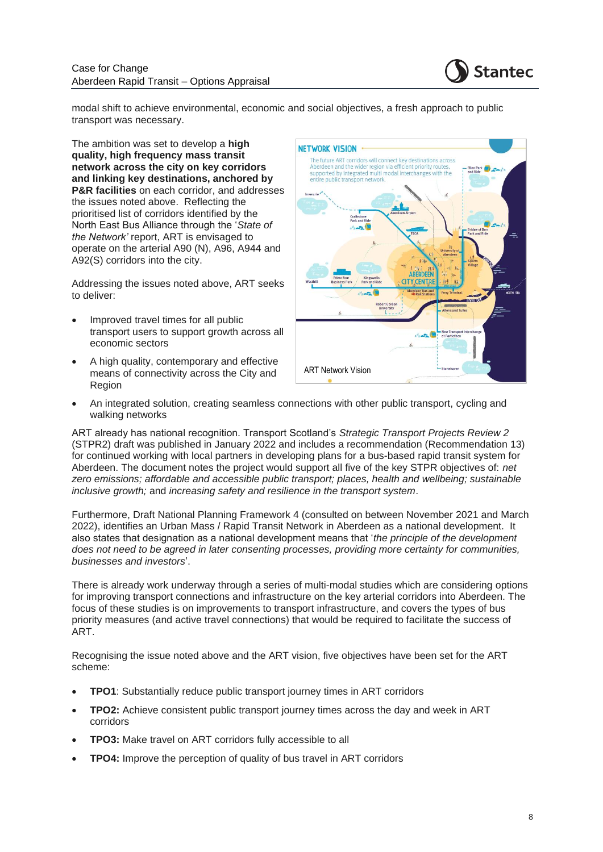

modal shift to achieve environmental, economic and social objectives, a fresh approach to public transport was necessary.

The ambition was set to develop a **high quality, high frequency mass transit network across the city on key corridors and linking key destinations, anchored by P&R facilities** on each corridor, and addresses the issues noted above. Reflecting the prioritised list of corridors identified by the North East Bus Alliance through the '*State of the Network'* report, ART is envisaged to operate on the arterial A90 (N), A96, A944 and A92(S) corridors into the city.

Addressing the issues noted above, ART seeks to deliver:

- Improved travel times for all public transport users to support growth across all economic sectors
- A high quality, contemporary and effective means of connectivity across the City and Region



• An integrated solution, creating seamless connections with other public transport, cycling and walking networks

ART already has national recognition. Transport Scotland's *Strategic Transport Projects Review 2* (STPR2) draft was published in January 2022 and includes a recommendation (Recommendation 13) for continued working with local partners in developing plans for a bus-based rapid transit system for Aberdeen. The document notes the project would support all five of the key STPR objectives of: *net zero emissions; affordable and accessible public transport; places, health and wellbeing; sustainable inclusive growth;* and *increasing safety and resilience in the transport system*.

Furthermore, Draft National Planning Framework 4 (consulted on between November 2021 and March 2022), identifies an Urban Mass / Rapid Transit Network in Aberdeen as a national development. It also states that designation as a national development means that '*the principle of the development does not need to be agreed in later consenting processes, providing more certainty for communities, businesses and investors*'.

There is already work underway through a series of multi-modal studies which are considering options for improving transport connections and infrastructure on the key arterial corridors into Aberdeen. The focus of these studies is on improvements to transport infrastructure, and covers the types of bus priority measures (and active travel connections) that would be required to facilitate the success of ART.

Recognising the issue noted above and the ART vision, five objectives have been set for the ART scheme:

- **TPO1**: Substantially reduce public transport journey times in ART corridors
- **TPO2:** Achieve consistent public transport journey times across the day and week in ART corridors
- **TPO3:** Make travel on ART corridors fully accessible to all
- **TPO4:** Improve the perception of quality of bus travel in ART corridors